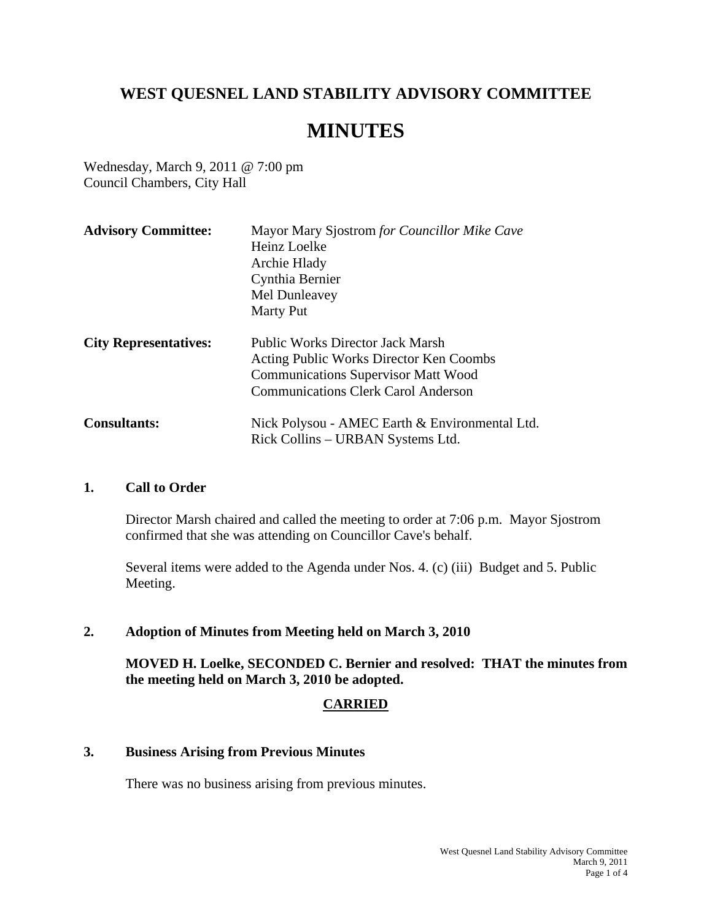## **WEST QUESNEL LAND STABILITY ADVISORY COMMITTEE**

# **MINUTES**

Wednesday, March 9, 2011 @ 7:00 pm Council Chambers, City Hall

| <b>Advisory Committee:</b>   | Mayor Mary Sjostrom for Councillor Mike Cave<br>Heinz Loelke<br>Archie Hlady<br>Cynthia Bernier<br>Mel Dunleavey<br><b>Marty Put</b>                                           |
|------------------------------|--------------------------------------------------------------------------------------------------------------------------------------------------------------------------------|
| <b>City Representatives:</b> | <b>Public Works Director Jack Marsh</b><br>Acting Public Works Director Ken Coombs<br><b>Communications Supervisor Matt Wood</b><br><b>Communications Clerk Carol Anderson</b> |
| <b>Consultants:</b>          | Nick Polysou - AMEC Earth & Environmental Ltd.<br>Rick Collins – URBAN Systems Ltd.                                                                                            |

#### **1. Call to Order**

Director Marsh chaired and called the meeting to order at 7:06 p.m. Mayor Sjostrom confirmed that she was attending on Councillor Cave's behalf.

Several items were added to the Agenda under Nos. 4. (c) (iii) Budget and 5. Public Meeting.

## **2. Adoption of Minutes from Meeting held on March 3, 2010**

**MOVED H. Loelke, SECONDED C. Bernier and resolved: THAT the minutes from the meeting held on March 3, 2010 be adopted.** 

## **CARRIED**

#### **3. Business Arising from Previous Minutes**

There was no business arising from previous minutes.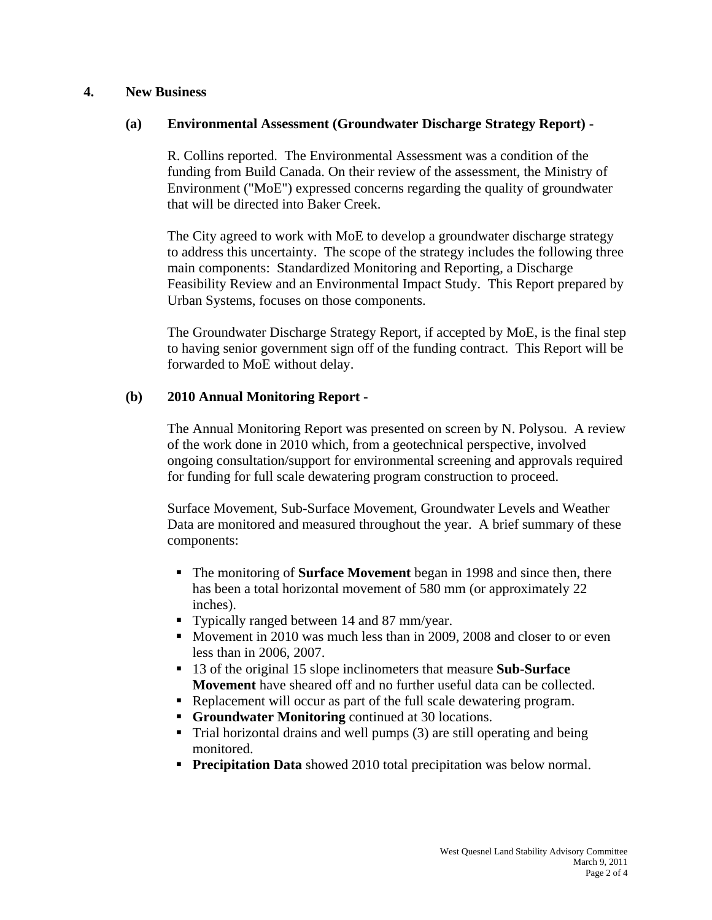#### **4. New Business**

## **(a) Environmental Assessment (Groundwater Discharge Strategy Report) -**

R. Collins reported. The Environmental Assessment was a condition of the funding from Build Canada. On their review of the assessment, the Ministry of Environment ("MoE") expressed concerns regarding the quality of groundwater that will be directed into Baker Creek.

 The City agreed to work with MoE to develop a groundwater discharge strategy to address this uncertainty. The scope of the strategy includes the following three main components: Standardized Monitoring and Reporting, a Discharge Feasibility Review and an Environmental Impact Study. This Report prepared by Urban Systems, focuses on those components.

 The Groundwater Discharge Strategy Report, if accepted by MoE, is the final step to having senior government sign off of the funding contract. This Report will be forwarded to MoE without delay.

## **(b) 2010 Annual Monitoring Report -**

The Annual Monitoring Report was presented on screen by N. Polysou. A review of the work done in 2010 which, from a geotechnical perspective, involved ongoing consultation/support for environmental screening and approvals required for funding for full scale dewatering program construction to proceed.

 Surface Movement, Sub-Surface Movement, Groundwater Levels and Weather Data are monitored and measured throughout the year. A brief summary of these components:

- The monitoring of **Surface Movement** began in 1998 and since then, there has been a total horizontal movement of 580 mm (or approximately 22 inches).
- Typically ranged between 14 and 87 mm/year.
- Movement in 2010 was much less than in 2009, 2008 and closer to or even less than in 2006, 2007.
- 13 of the original 15 slope inclinometers that measure **Sub-Surface Movement** have sheared off and no further useful data can be collected.
- Replacement will occur as part of the full scale dewatering program.
- **Groundwater Monitoring** continued at 30 locations.
- Trial horizontal drains and well pumps (3) are still operating and being monitored.
- **Precipitation Data** showed 2010 total precipitation was below normal.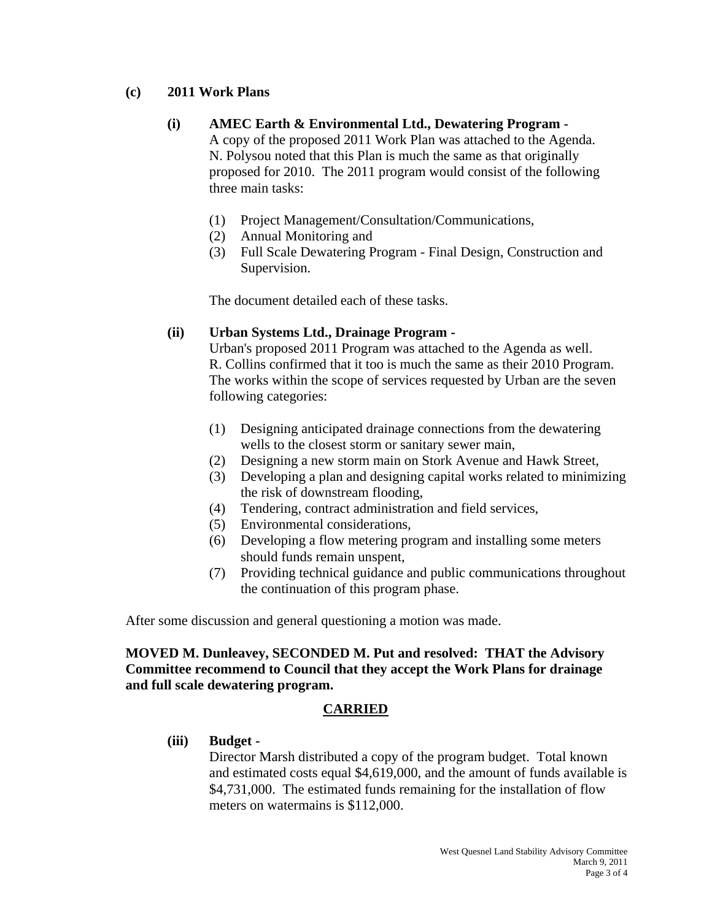## **(c) 2011 Work Plans**

#### **(i) AMEC Earth & Environmental Ltd., Dewatering Program -**

 A copy of the proposed 2011 Work Plan was attached to the Agenda. N. Polysou noted that this Plan is much the same as that originally proposed for 2010. The 2011 program would consist of the following three main tasks:

- (1) Project Management/Consultation/Communications,
- (2) Annual Monitoring and
- (3) Full Scale Dewatering Program Final Design, Construction and Supervision.

The document detailed each of these tasks.

## **(ii) Urban Systems Ltd., Drainage Program -**

 Urban's proposed 2011 Program was attached to the Agenda as well. R. Collins confirmed that it too is much the same as their 2010 Program. The works within the scope of services requested by Urban are the seven following categories:

- (1) Designing anticipated drainage connections from the dewatering wells to the closest storm or sanitary sewer main,
- (2) Designing a new storm main on Stork Avenue and Hawk Street,
- (3) Developing a plan and designing capital works related to minimizing the risk of downstream flooding,
- (4) Tendering, contract administration and field services,
- (5) Environmental considerations,
- (6) Developing a flow metering program and installing some meters should funds remain unspent,
- (7) Providing technical guidance and public communications throughout the continuation of this program phase.

After some discussion and general questioning a motion was made.

## **MOVED M. Dunleavey, SECONDED M. Put and resolved: THAT the Advisory Committee recommend to Council that they accept the Work Plans for drainage and full scale dewatering program.**

## **CARRIED**

#### **(iii) Budget -**

 Director Marsh distributed a copy of the program budget. Total known and estimated costs equal \$4,619,000, and the amount of funds available is \$4,731,000. The estimated funds remaining for the installation of flow meters on watermains is \$112,000.